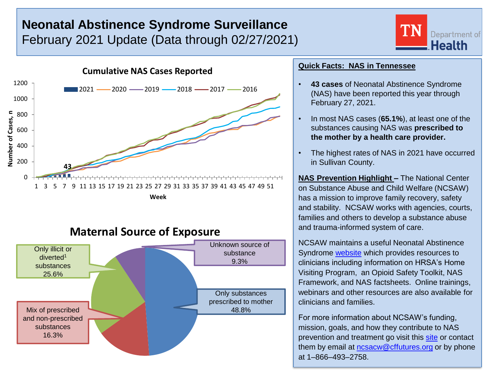# **Neonatal Abstinence Syndrome Surveillance** February 2021 Update (Data through 02/27/2021)





## **Maternal Source of Exposure**



### **Quick Facts: NAS in Tennessee**

- **43 cases** of Neonatal Abstinence Syndrome (NAS) have been reported this year through February 27, 2021.
- In most NAS cases (**65.1%**), at least one of the substances causing NAS was **prescribed to the mother by a health care provider.**
- The highest rates of NAS in 2021 have occurred in Sullivan County.

**NAS Prevention Highlight –** The National Center on Substance Abuse and Child Welfare (NCSAW) has a mission to improve family recovery, safety and stability. NCSAW works with agencies, courts, families and others to develop a substance abuse and trauma-informed system of care.

NCSAW maintains a useful Neonatal Abstinence Syndrome [website](https://ncsacw.samhsa.gov/topics/neonatal-abstinence-syndrome.aspx) which provides resources to clinicians including information on HRSA's Home Visiting Program, an Opioid Safety Toolkit, NAS Framework, and NAS factsheets. Online trainings, webinars and other resources are also available for clinicians and families.

For more information about NCSAW's funding, mission, goals, and how they contribute to NAS prevention and treatment go visit this [site](https://ncsacw.samhsa.gov/aboutus/default.aspx) or contact them by email at [ncsacw@cffutures.org](mailto:ncsacw@cffutures.org) or by phone at 1–866–493–2758.